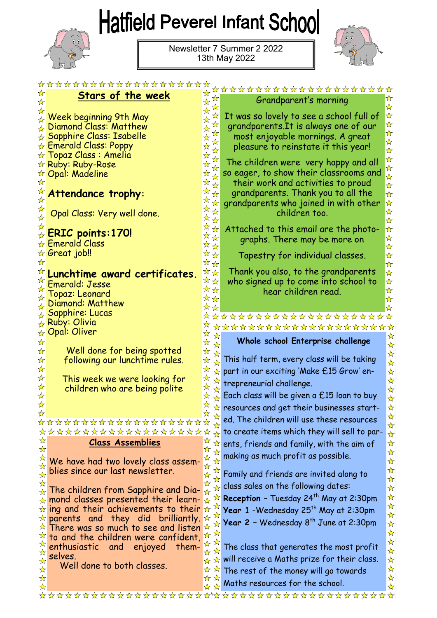## Hatfield Peverel Infant School



Newsletter 7 Summer 2 2022 13th May 2022



|                                            | ********************                                   |                                     |                                                                          |                                             |
|--------------------------------------------|--------------------------------------------------------|-------------------------------------|--------------------------------------------------------------------------|---------------------------------------------|
| ☆                                          | <u>Stars of the week</u>                               | ☆                                   | ********************                                                     |                                             |
|                                            |                                                        | ☆                                   | Grandparent's morning                                                    | ☆<br>$\frac{1}{\sqrt{2}}$                   |
|                                            |                                                        |                                     | It was so lovely to see a school full of                                 | $\frac{1}{\mathcal{N}}$                     |
|                                            | Week beginning 9th May<br>Diamond Class: Matthew       |                                     |                                                                          | $\frac{1}{\mathcal{N}}$                     |
|                                            |                                                        |                                     | grandparents. It is always one of our                                    |                                             |
|                                            | $\overline{\star}$ Sapphire Class: Isabelle            |                                     | most enjoyable mornings. A great                                         | 华华华                                         |
|                                            | ☆ Emerald Class: Poppy<br>$\star$ Topaz Class : Amelia | $\star$                             | pleasure to reinstate it this year!                                      |                                             |
|                                            |                                                        |                                     | The children were very happy and all                                     | 华华华                                         |
|                                            | ☆ Ruby: Ruby-Rose                                      |                                     | so eager, to show their classrooms and                                   |                                             |
|                                            | ☆ Opal: Madeline                                       |                                     | their work and activities to proud                                       |                                             |
| $\frac{1}{\sqrt{2}}$                       |                                                        | ☆                                   | grandparents. Thank you to all the                                       | $\frac{\lambda}{\lambda}$<br>$\star$        |
|                                            | Attendance trophy:                                     | ☆                                   |                                                                          |                                             |
|                                            |                                                        | ☆                                   | grandparents who joined in with other                                    | 琴琴                                          |
|                                            | Opal Class: Very well done.                            | ☆☆                                  | children too.                                                            | $\frac{1}{\mathcal{N}}$                     |
|                                            |                                                        | ☆                                   | Attached to this email are the photo-                                    | $\frac{1}{\mathcal{N}}$                     |
|                                            | $\overline{\star}$ ERIC points:170!                    | ☆<br>$\star$                        | graphs. There may be more on                                             | ☆                                           |
|                                            | $\star$ Emerald Class                                  | $\frac{1}{\sqrt{2}}$<br>☆           |                                                                          | $\frac{\lambda}{\lambda}$                   |
|                                            | ☆ Great job‼                                           | ☆<br>☆                              | Tapestry for individual classes.                                         | $\frac{1}{\sqrt{2}}$                        |
|                                            |                                                        | ☆☆                                  |                                                                          | $\frac{1}{\sqrt{2}}$                        |
|                                            | Lunchtime award certificates.                          | ☆☆ <br>**                           | Thank you also, to the grandparents                                      | $\star$                                     |
|                                            | Emerald: Jesse                                         | **                                  | who signed up to come into school to                                     | $\star$<br>$\frac{\lambda}{\lambda}$        |
|                                            | Topaz: Leonard                                         | ☆☆                                  | hear children read.                                                      | $\frac{\lambda}{\lambda}$                   |
|                                            | Diamond: Matthew                                       | ☆☆                                  |                                                                          | ☆                                           |
|                                            | <sub>☆</sub> Sapphire: Lucas                           |                                     | *******************                                                      |                                             |
|                                            | <sub>☆</sub> Ruby: Olivia                              |                                     | ******************                                                       |                                             |
|                                            | ☆ Opal: Oliver                                         |                                     |                                                                          |                                             |
|                                            |                                                        | ☆                                   |                                                                          |                                             |
| $\star$                                    |                                                        | D                                   | Whole school Enterprise challenge                                        | ☆<br>$\frac{\lambda}{\lambda}$              |
| $\star$                                    | Well done for being spotted                            |                                     |                                                                          | ☆                                           |
| $\star$                                    | following our lunchtime rules.                         | ☆                                   | This half term, every class will be taking                               | $\star$                                     |
| $\star$                                    |                                                        | ☆                                   | part in our exciting 'Make £15 Grow' en-                                 | $\star$                                     |
| $\star$                                    | This week we were looking for                          | ☆                                   | trepreneurial challenge.                                                 | $\frac{1}{\mathcal{N}}$                     |
| $\mathbf{\hat{x}}$                         | children who are being polite                          |                                     |                                                                          | ☆                                           |
| $\frac{\lambda}{\lambda}$                  |                                                        |                                     | Each class will be given a £15 loan to buy                               | $\frac{\lambda}{\lambda}$                   |
|                                            |                                                        |                                     | resources and get their businesses start-                                | $\frac{1}{\mathcal{N}}$                     |
|                                            | *******************                                    | ☆                                   | ed. The children will use these resources                                | ☆                                           |
|                                            | ********************                                   |                                     | to create items which they will sell to par-                             | $\frac{1}{\mathcal{N}}$                     |
| ☆                                          | <b>Class Assemblies</b>                                | ☆                                   | ents, friends and family, with the aim of                                | $\star$<br>$\frac{1}{\mathcal{N}}$          |
| ☆                                          |                                                        | ☆                                   |                                                                          | $\frac{1}{\sqrt{2}}$                        |
| ☆                                          | We have had two lovely class assem-                    | ☆                                   | making as much profit as possible.                                       | $\frac{1}{\mathcal{N}}$                     |
|                                            | blies since our last newsletter.                       | ☆                                   |                                                                          | $\frac{\lambda}{\lambda}$                   |
| $\frac{1}{\mathcal{N}}$                    |                                                        | ☆                                   | Family and friends are invited along to                                  | $\frac{\lambda}{\lambda}$                   |
| $\frac{1}{N}$<br>$\frac{\lambda}{\lambda}$ | The children from Sapphire and Dia-                    | ☆<br>$\star$                        | class sales on the following dates:                                      | $\frac{1}{\mathcal{N}}$                     |
| ☆                                          | mond classes presented their learn-                    | ☆                                   | Reception - Tuesday 24 <sup>th</sup> May at 2:30pm                       | $\frac{\lambda}{\lambda}$                   |
|                                            | $\star$ ing and their achievements to their            | ☆                                   | Year 1 - Wednesday 25 <sup>th</sup> May at 2:30pm                        | $\frac{\lambda}{\lambda}$                   |
|                                            | $\star$ parents and<br>they did<br>brilliantly.        | ☆<br>☆                              |                                                                          | $\star$                                     |
| ☆                                          | There was so much to see and listen                    | ☆<br>☆                              | Year $2$ - Wednesday $8^{th}$ June at 2:30pm                             | $\frac{\lambda}{\lambda}$                   |
| ☆                                          | to and the children were confident,                    |                                     |                                                                          | $\frac{\lambda}{\lambda}$                   |
| ☆                                          | enthusiastic<br>enjoyed<br>them-<br>and                | ☆                                   | The class that generates the most profit                                 | $\frac{1}{\sqrt{2}}$<br>$\frac{\lambda}{M}$ |
| ☆<br>$\frac{\lambda}{\lambda}$             | selves.                                                | ☆<br>ଧ                              | will receive a Maths prize for their class.                              | $\frac{1}{\mathcal{N}}$                     |
| $\star$                                    | Well done to both classes.                             | ☆                                   |                                                                          | $\frac{1}{\sqrt{2}}$                        |
| ☆<br>☆                                     |                                                        | ☆<br>☆<br>☆<br>$\frac{1}{\sqrt{2}}$ | The rest of the money will go towards<br>Maths resources for the school. | $\frac{1}{\mathcal{N}}$<br>☆                |

**www.hatfieldpeverelinfantschool.com**